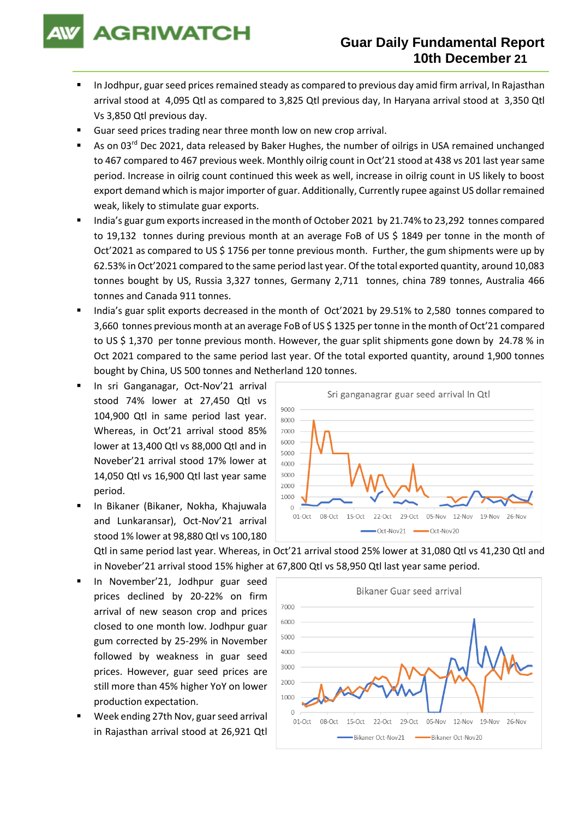**AGRIWATCH** 

# **Guar Daily Fundamental Report 10th December 21**

- In Jodhpur, guar seed prices remained steady as compared to previous day amid firm arrival, In Rajasthan arrival stood at 4,095 Qtl as compared to 3,825 Qtl previous day, In Haryana arrival stood at 3,350 Qtl Vs 3,850 Qtl previous day.
- Guar seed prices trading near three month low on new crop arrival.
- As on 03<sup>rd</sup> Dec 2021, data released by Baker Hughes, the number of oilrigs in USA remained unchanged to 467 compared to 467 previous week. Monthly oilrig count in Oct'21 stood at 438 vs 201 last year same period. Increase in oilrig count continued this week as well, increase in oilrig count in US likely to boost export demand which is major importer of guar. Additionally, Currently rupee against US dollar remained weak, likely to stimulate guar exports.
- India's guar gum exports increased in the month of October 2021 by 21.74% to 23,292 tonnes compared to 19,132 tonnes during previous month at an average FoB of US \$ 1849 per tonne in the month of Oct'2021 as compared to US \$ 1756 per tonne previous month. Further, the gum shipments were up by 62.53% in Oct'2021 compared to the same period last year. Of the total exported quantity, around 10,083 tonnes bought by US, Russia 3,327 tonnes, Germany 2,711 tonnes, china 789 tonnes, Australia 466 tonnes and Canada 911 tonnes.
- India's guar split exports decreased in the month of Oct'2021 by 29.51% to 2,580 tonnes compared to 3,660 tonnes previous month at an average FoB of US \$ 1325 per tonne in the month of Oct'21 compared to US \$ 1,370 per tonne previous month. However, the guar split shipments gone down by 24.78 % in Oct 2021 compared to the same period last year. Of the total exported quantity, around 1,900 tonnes bought by China, US 500 tonnes and Netherland 120 tonnes.
- In sri Ganganagar, Oct-Nov'21 arrival stood 74% lower at 27,450 Qtl vs 104,900 Qtl in same period last year. Whereas, in Oct'21 arrival stood 85% lower at 13,400 Qtl vs 88,000 Qtl and in Noveber'21 arrival stood 17% lower at 14,050 Qtl vs 16,900 Qtl last year same period.
- In Bikaner (Bikaner, Nokha, Khajuwala and Lunkaransar), Oct-Nov'21 arrival stood 1% lower at 98,880 Qtl vs 100,180



Qtl in same period last year. Whereas, in Oct'21 arrival stood 25% lower at 31,080 Qtl vs 41,230 Qtl and in Noveber'21 arrival stood 15% higher at 67,800 Qtl vs 58,950 Qtl last year same period.

- In November'21, Jodhpur guar seed prices declined by 20-22% on firm arrival of new season crop and prices closed to one month low. Jodhpur guar gum corrected by 25-29% in November followed by weakness in guar seed prices. However, guar seed prices are still more than 45% higher YoY on lower production expectation.
- Week ending 27th Nov, guar seed arrival in Rajasthan arrival stood at 26,921 Qtl

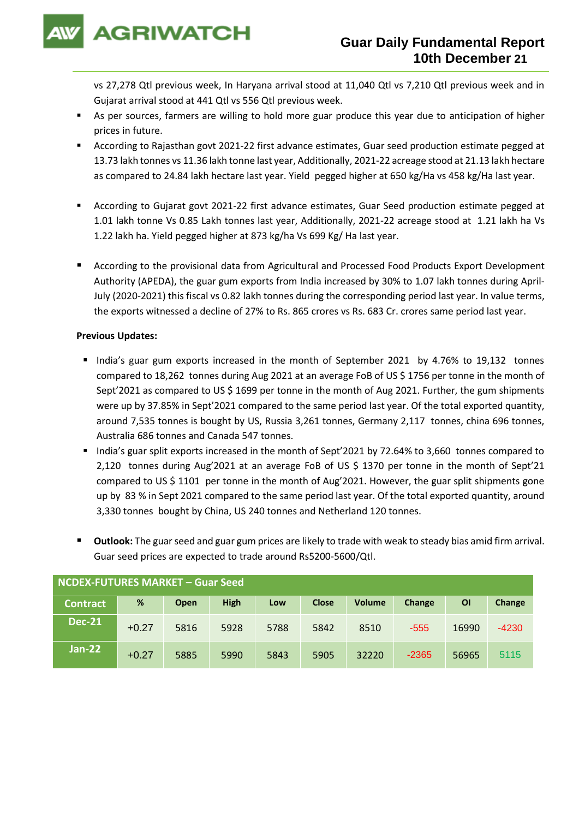**AGRIWATCH** 

vs 27,278 Qtl previous week, In Haryana arrival stood at 11,040 Qtl vs 7,210 Qtl previous week and in Gujarat arrival stood at 441 Qtl vs 556 Qtl previous week.

- As per sources, farmers are willing to hold more guar produce this year due to anticipation of higher prices in future.
- According to Rajasthan govt 2021-22 first advance estimates, Guar seed production estimate pegged at 13.73 lakh tonnes vs 11.36 lakh tonne last year, Additionally, 2021-22 acreage stood at 21.13 lakh hectare as compared to 24.84 lakh hectare last year. Yield pegged higher at 650 kg/Ha vs 458 kg/Ha last year.
- According to Gujarat govt 2021-22 first advance estimates, Guar Seed production estimate pegged at 1.01 lakh tonne Vs 0.85 Lakh tonnes last year, Additionally, 2021-22 acreage stood at 1.21 lakh ha Vs 1.22 lakh ha. Yield pegged higher at 873 kg/ha Vs 699 Kg/ Ha last year.
- According to the provisional data from Agricultural and Processed Food Products Export Development Authority (APEDA), the guar gum exports from India increased by 30% to 1.07 lakh tonnes during April-July (2020-2021) this fiscal vs 0.82 lakh tonnes during the corresponding period last year. In value terms, the exports witnessed a decline of 27% to Rs. 865 crores vs Rs. 683 Cr. crores same period last year.

### **Previous Updates:**

- India's guar gum exports increased in the month of September 2021 by 4.76% to 19,132 tonnes compared to 18,262 tonnes during Aug 2021 at an average FoB of US \$ 1756 per tonne in the month of Sept'2021 as compared to US \$ 1699 per tonne in the month of Aug 2021. Further, the gum shipments were up by 37.85% in Sept'2021 compared to the same period last year. Of the total exported quantity, around 7,535 tonnes is bought by US, Russia 3,261 tonnes, Germany 2,117 tonnes, china 696 tonnes, Australia 686 tonnes and Canada 547 tonnes.
- India's guar split exports increased in the month of Sept'2021 by 72.64% to 3,660 tonnes compared to 2,120 tonnes during Aug'2021 at an average FoB of US \$ 1370 per tonne in the month of Sept'21 compared to US \$ 1101 per tonne in the month of Aug'2021. However, the guar split shipments gone up by 83 % in Sept 2021 compared to the same period last year. Of the total exported quantity, around 3,330 tonnes bought by China, US 240 tonnes and Netherland 120 tonnes.
- **Outlook:** The guar seed and guar gum prices are likely to trade with weak to steady bias amid firm arrival. Guar seed prices are expected to trade around Rs5200-5600/Qtl.

| NCDEX-FUTURES MARKET - Guar Seed |         |      |             |      |              |               |         |           |         |
|----------------------------------|---------|------|-------------|------|--------------|---------------|---------|-----------|---------|
| <b>Contract</b>                  | %       | Open | <b>High</b> | Low  | <b>Close</b> | <b>Volume</b> | Change  | <b>OI</b> | Change  |
| <b>Dec-21</b>                    | $+0.27$ | 5816 | 5928        | 5788 | 5842         | 8510          | $-555$  | 16990     | $-4230$ |
| $Jan-22$                         | $+0.27$ | 5885 | 5990        | 5843 | 5905         | 32220         | $-2365$ | 56965     | 5115    |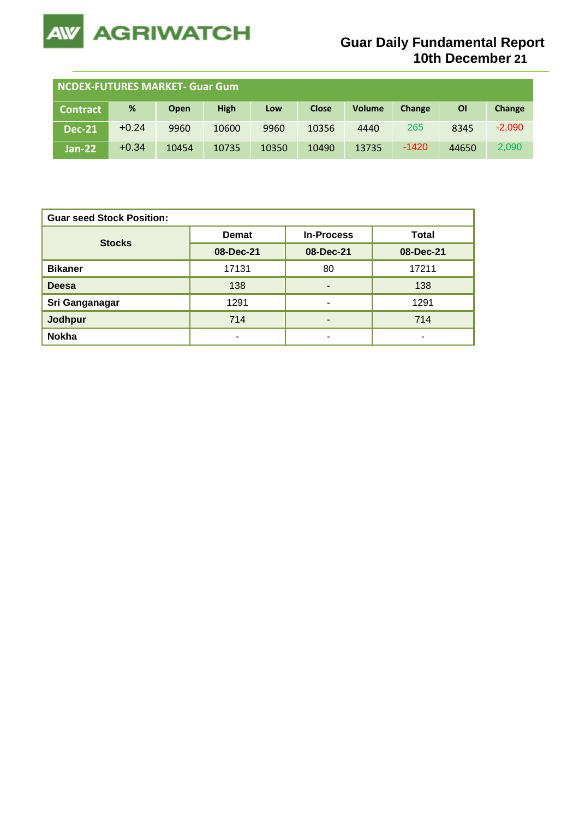

| <b>NCDEX-FUTURES MARKET- Guar Gum</b> |         |             |             |       |              |               |         |           |          |
|---------------------------------------|---------|-------------|-------------|-------|--------------|---------------|---------|-----------|----------|
| <b>Contract</b>                       | %       | <b>Open</b> | <b>High</b> | Low   | <b>Close</b> | <b>Volume</b> | Change  | <b>OI</b> | Change   |
| <b>Dec-21</b>                         | $+0.24$ | 9960        | 10600       | 9960  | 10356        | 4440          | 265     | 8345      | $-2,090$ |
| $Jan-22$                              | $+0.34$ | 10454       | 10735       | 10350 | 10490        | 13735         | $-1420$ | 44650     | 2,090    |

| <b>Guar seed Stock Position:</b> |              |                          |              |  |  |  |  |
|----------------------------------|--------------|--------------------------|--------------|--|--|--|--|
| <b>Stocks</b>                    | <b>Demat</b> | <b>In-Process</b>        | <b>Total</b> |  |  |  |  |
|                                  | 08-Dec-21    | 08-Dec-21                | 08-Dec-21    |  |  |  |  |
| <b>Bikaner</b>                   | 17131        | 80                       | 17211        |  |  |  |  |
| <b>Deesa</b>                     | 138          | -                        | 138          |  |  |  |  |
| Sri Ganganagar                   | 1291         | ۰                        | 1291         |  |  |  |  |
| <b>Jodhpur</b>                   | 714          | $\overline{\phantom{0}}$ | 714          |  |  |  |  |
| <b>Nokha</b>                     | ٠            | ۰                        | -            |  |  |  |  |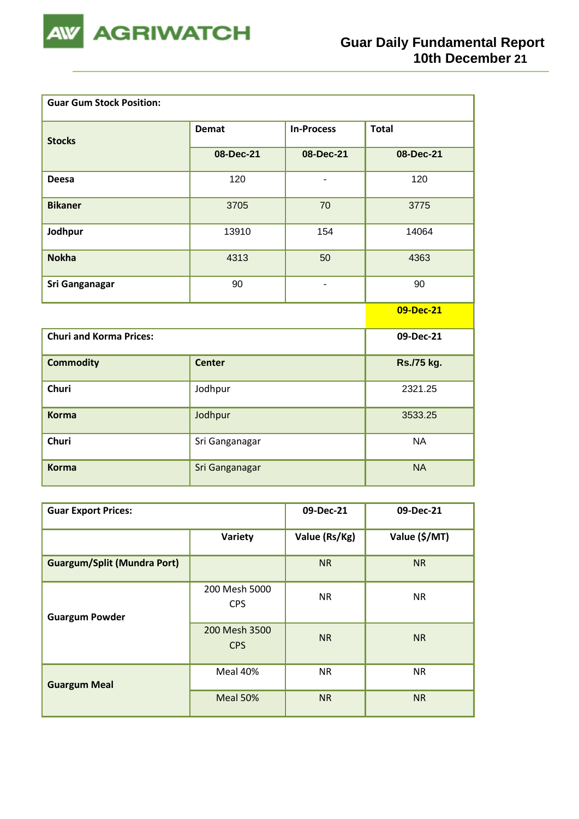

| <b>Guar Gum Stock Position:</b> |                |                          |              |
|---------------------------------|----------------|--------------------------|--------------|
| <b>Stocks</b>                   | <b>Demat</b>   | <b>In-Process</b>        | <b>Total</b> |
|                                 | 08-Dec-21      | 08-Dec-21                | 08-Dec-21    |
| <b>Deesa</b>                    | 120            | $\overline{\phantom{a}}$ | 120          |
| <b>Bikaner</b>                  | 3705           | 70                       | 3775         |
| Jodhpur                         | 13910          | 154                      | 14064        |
| <b>Nokha</b>                    | 4313           | 50                       | 4363         |
| Sri Ganganagar                  | 90             | $\overline{\phantom{0}}$ | 90           |
|                                 |                |                          | 09-Dec-21    |
| <b>Churi and Korma Prices:</b>  |                |                          | 09-Dec-21    |
| <b>Commodity</b>                | <b>Center</b>  |                          | Rs./75 kg.   |
| <b>Churi</b>                    | Jodhpur        |                          | 2321.25      |
| <b>Korma</b>                    | Jodhpur        |                          | 3533.25      |
| <b>Churi</b>                    | Sri Ganganagar |                          | <b>NA</b>    |
| <b>Korma</b>                    | Sri Ganganagar |                          | <b>NA</b>    |

| <b>Guar Export Prices:</b>         | 09-Dec-21                   | 09-Dec-21     |               |
|------------------------------------|-----------------------------|---------------|---------------|
|                                    | Variety                     | Value (Rs/Kg) | Value (\$/MT) |
| <b>Guargum/Split (Mundra Port)</b> |                             | <b>NR</b>     | <b>NR</b>     |
| <b>Guargum Powder</b>              | 200 Mesh 5000<br><b>CPS</b> | <b>NR</b>     | <b>NR</b>     |
|                                    | 200 Mesh 3500<br><b>CPS</b> | <b>NR</b>     | <b>NR</b>     |
| <b>Guargum Meal</b>                | Meal 40%                    | <b>NR</b>     | <b>NR</b>     |
|                                    | Meal 50%                    | <b>NR</b>     | <b>NR</b>     |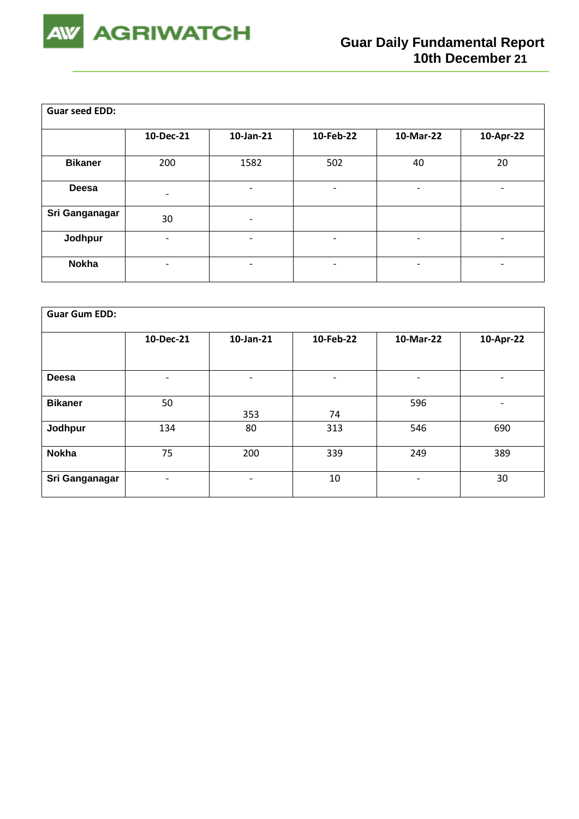

| <b>Guar seed EDD:</b> |                          |                          |                          |                          |                          |
|-----------------------|--------------------------|--------------------------|--------------------------|--------------------------|--------------------------|
|                       | 10-Dec-21                | 10-Jan-21                | 10-Feb-22                | 10-Mar-22                | 10-Apr-22                |
| <b>Bikaner</b>        | 200                      | 1582                     | 502                      | 40                       | 20                       |
| <b>Deesa</b>          | $\overline{\phantom{0}}$ | $\overline{\phantom{0}}$ | ٠                        | -                        | -                        |
| Sri Ganganagar        | 30                       | $\overline{\phantom{a}}$ |                          |                          |                          |
| Jodhpur               | $\overline{\phantom{0}}$ | $\overline{\phantom{0}}$ | $\overline{\phantom{a}}$ | $\overline{\phantom{a}}$ | -                        |
| <b>Nokha</b>          |                          | $\overline{\phantom{0}}$ | $\overline{\phantom{a}}$ | -                        | $\overline{\phantom{a}}$ |

| <b>Guar Gum EDD:</b> |                          |                          |                          |           |                          |
|----------------------|--------------------------|--------------------------|--------------------------|-----------|--------------------------|
|                      | 10-Dec-21                | 10-Jan-21                | 10-Feb-22                | 10-Mar-22 | 10-Apr-22                |
|                      |                          |                          |                          |           |                          |
| <b>Deesa</b>         | $\overline{\phantom{0}}$ | $\overline{\phantom{0}}$ | $\overline{\phantom{a}}$ | -         | $\overline{\phantom{0}}$ |
| <b>Bikaner</b>       | 50                       | 353                      | 74                       | 596       | $\overline{\phantom{0}}$ |
| Jodhpur              | 134                      | 80                       | 313                      | 546       | 690                      |
| <b>Nokha</b>         | 75                       | 200                      | 339                      | 249       | 389                      |
| Sri Ganganagar       | $\overline{\phantom{0}}$ | ۰                        | 10                       | -         | 30                       |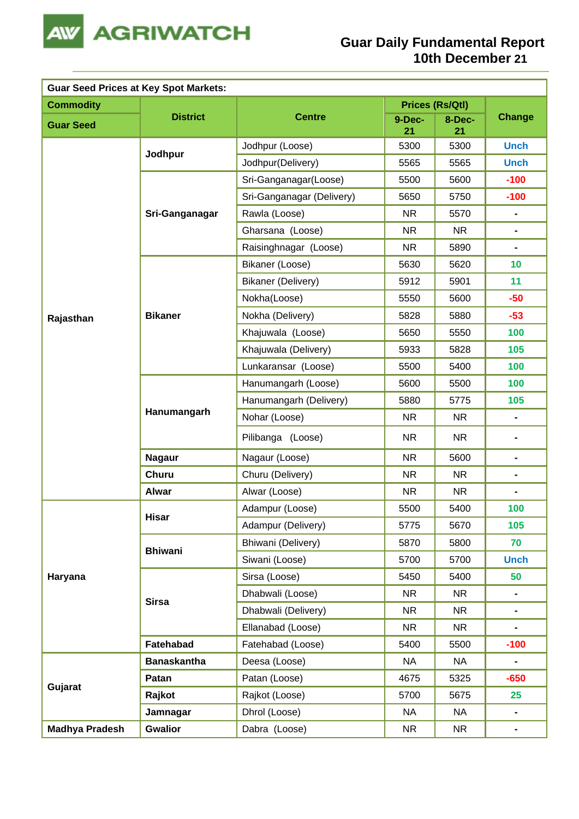

| <b>Guar Seed Prices at Key Spot Markets:</b> |                    |                           |              |                        |                |  |  |
|----------------------------------------------|--------------------|---------------------------|--------------|------------------------|----------------|--|--|
| <b>Commodity</b>                             |                    |                           |              | <b>Prices (Rs/Qtl)</b> |                |  |  |
| <b>Guar Seed</b>                             | <b>District</b>    | <b>Centre</b>             | 9-Dec-<br>21 | 8-Dec-<br>21           | <b>Change</b>  |  |  |
|                                              |                    | Jodhpur (Loose)           | 5300         | 5300                   | <b>Unch</b>    |  |  |
|                                              | Jodhpur            | Jodhpur(Delivery)         | 5565         | 5565                   | <b>Unch</b>    |  |  |
|                                              |                    | Sri-Ganganagar(Loose)     | 5500         | 5600                   | $-100$         |  |  |
|                                              |                    | Sri-Ganganagar (Delivery) | 5650         | 5750                   | $-100$         |  |  |
|                                              | Sri-Ganganagar     | Rawla (Loose)             | <b>NR</b>    | 5570                   | $\blacksquare$ |  |  |
|                                              |                    | Gharsana (Loose)          | <b>NR</b>    | NR                     | $\blacksquare$ |  |  |
|                                              |                    | Raisinghnagar (Loose)     | <b>NR</b>    | 5890                   | $\blacksquare$ |  |  |
|                                              |                    | Bikaner (Loose)           | 5630         | 5620                   | 10             |  |  |
|                                              |                    | Bikaner (Delivery)        | 5912         | 5901                   | 11             |  |  |
|                                              |                    | Nokha(Loose)              | 5550         | 5600                   | $-50$          |  |  |
| Rajasthan                                    | <b>Bikaner</b>     | Nokha (Delivery)          | 5828         | 5880                   | $-53$          |  |  |
|                                              |                    | Khajuwala (Loose)         | 5650         | 5550                   | 100            |  |  |
|                                              |                    | Khajuwala (Delivery)      | 5933         | 5828                   | 105            |  |  |
|                                              |                    | Lunkaransar (Loose)       | 5500         | 5400                   | 100            |  |  |
|                                              | Hanumangarh        | Hanumangarh (Loose)       | 5600         | 5500                   | 100            |  |  |
|                                              |                    | Hanumangarh (Delivery)    | 5880         | 5775                   | 105            |  |  |
|                                              |                    | Nohar (Loose)             | <b>NR</b>    | NR                     | $\blacksquare$ |  |  |
|                                              |                    | Pilibanga (Loose)         | <b>NR</b>    | <b>NR</b>              | $\blacksquare$ |  |  |
|                                              | <b>Nagaur</b>      | Nagaur (Loose)            | <b>NR</b>    | 5600                   | $\blacksquare$ |  |  |
|                                              | <b>Churu</b>       | Churu (Delivery)          | <b>NR</b>    | <b>NR</b>              | ۰              |  |  |
|                                              | <b>Alwar</b>       | Alwar (Loose)             | <b>NR</b>    | NR.                    |                |  |  |
|                                              | Hisar              | Adampur (Loose)           | 5500         | 5400                   | 100            |  |  |
|                                              |                    | Adampur (Delivery)        | 5775         | 5670                   | 105            |  |  |
|                                              | <b>Bhiwani</b>     | Bhiwani (Delivery)        | 5870         | 5800                   | 70             |  |  |
|                                              |                    | Siwani (Loose)            | 5700         | 5700                   | <b>Unch</b>    |  |  |
| Haryana                                      |                    | Sirsa (Loose)             | 5450         | 5400                   | 50             |  |  |
|                                              | <b>Sirsa</b>       | Dhabwali (Loose)          | <b>NR</b>    | NR                     | $\blacksquare$ |  |  |
|                                              |                    | Dhabwali (Delivery)       | <b>NR</b>    | NR                     | $\blacksquare$ |  |  |
|                                              |                    | Ellanabad (Loose)         | <b>NR</b>    | NR                     | $\blacksquare$ |  |  |
|                                              | Fatehabad          | Fatehabad (Loose)         | 5400         | 5500                   | $-100$         |  |  |
|                                              | <b>Banaskantha</b> | Deesa (Loose)             | <b>NA</b>    | <b>NA</b>              |                |  |  |
| Gujarat                                      | Patan              | Patan (Loose)             | 4675         | 5325                   | $-650$         |  |  |
|                                              | Rajkot             | Rajkot (Loose)            | 5700         | 5675                   | 25             |  |  |
|                                              | Jamnagar           | Dhrol (Loose)             | <b>NA</b>    | <b>NA</b>              | $\blacksquare$ |  |  |
| <b>Madhya Pradesh</b>                        | <b>Gwalior</b>     | Dabra (Loose)             | <b>NR</b>    | <b>NR</b>              | $\blacksquare$ |  |  |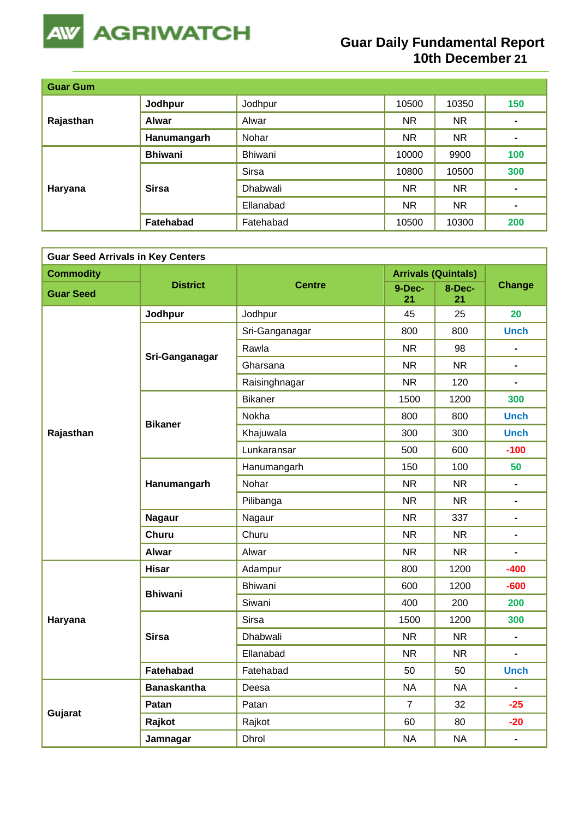

# **Guar Daily Fundamental Report 10th December 21**

| <b>Guar Gum</b> |                |              |           |           |                |
|-----------------|----------------|--------------|-----------|-----------|----------------|
| Rajasthan       | Jodhpur        | Jodhpur      | 10500     | 10350     | 150            |
|                 | <b>Alwar</b>   | Alwar        | <b>NR</b> | <b>NR</b> |                |
|                 | Hanumangarh    | Nohar        | <b>NR</b> | <b>NR</b> | $\blacksquare$ |
|                 | <b>Bhiwani</b> | Bhiwani      | 10000     | 9900      | 100            |
|                 | <b>Sirsa</b>   | <b>Sirsa</b> | 10800     | 10500     | 300            |
| Haryana         |                | Dhabwali     | <b>NR</b> | <b>NR</b> | ۰              |
|                 |                | Ellanabad    | <b>NR</b> | <b>NR</b> | $\blacksquare$ |
|                 | Fatehabad      | Fatehabad    | 10500     | 10300     | 200            |

| <b>Guar Seed Arrivals in Key Centers</b> |                    |                 |                |                            |                              |  |  |
|------------------------------------------|--------------------|-----------------|----------------|----------------------------|------------------------------|--|--|
| <b>Commodity</b>                         |                    |                 |                | <b>Arrivals (Quintals)</b> |                              |  |  |
| <b>Guar Seed</b>                         | <b>District</b>    | <b>Centre</b>   | 9-Dec-<br>21   | 8-Dec-<br>21               | <b>Change</b>                |  |  |
|                                          | Jodhpur            | Jodhpur         | 45             | 25                         | 20                           |  |  |
|                                          |                    | Sri-Ganganagar  | 800            | 800                        | <b>Unch</b>                  |  |  |
|                                          | Sri-Ganganagar     | Rawla           | <b>NR</b>      | 98                         |                              |  |  |
|                                          |                    | Gharsana        | <b>NR</b>      | <b>NR</b>                  | $\blacksquare$               |  |  |
|                                          |                    | Raisinghnagar   | <b>NR</b>      | 120                        | $\blacksquare$               |  |  |
|                                          |                    | <b>Bikaner</b>  | 1500           | 1200                       | 300                          |  |  |
|                                          | <b>Bikaner</b>     | Nokha           | 800            | 800                        | <b>Unch</b>                  |  |  |
| Rajasthan                                |                    | Khajuwala       | 300            | 300                        | <b>Unch</b>                  |  |  |
|                                          |                    | Lunkaransar     | 500            | 600                        | $-100$                       |  |  |
|                                          |                    | Hanumangarh     | 150            | 100                        | 50                           |  |  |
|                                          | Hanumangarh        | Nohar           | <b>NR</b>      | <b>NR</b>                  | $\blacksquare$               |  |  |
|                                          |                    | Pilibanga       | <b>NR</b>      | <b>NR</b>                  | $\blacksquare$               |  |  |
|                                          | <b>Nagaur</b>      | Nagaur          | <b>NR</b>      | 337                        | $\blacksquare$               |  |  |
|                                          | <b>Churu</b>       | Churu           | <b>NR</b>      | NR.                        | $\qquad \qquad \blacksquare$ |  |  |
|                                          | <b>Alwar</b>       | Alwar           | <b>NR</b>      | <b>NR</b>                  | $\blacksquare$               |  |  |
|                                          | <b>Hisar</b>       | Adampur         | 800            | 1200                       | $-400$                       |  |  |
|                                          | <b>Bhiwani</b>     | Bhiwani         | 600            | 1200                       | $-600$                       |  |  |
|                                          |                    | Siwani          | 400            | 200                        | 200                          |  |  |
| Haryana                                  |                    | Sirsa           | 1500           | 1200                       | 300                          |  |  |
|                                          | <b>Sirsa</b>       | <b>Dhabwali</b> | <b>NR</b>      | NR.                        | $\blacksquare$               |  |  |
|                                          |                    | Ellanabad       | <b>NR</b>      | NR.                        | $\blacksquare$               |  |  |
|                                          | Fatehabad          | Fatehabad       | 50             | 50                         | <b>Unch</b>                  |  |  |
|                                          | <b>Banaskantha</b> | Deesa           | <b>NA</b>      | <b>NA</b>                  | $\blacksquare$               |  |  |
| Gujarat                                  | Patan              | Patan           | $\overline{7}$ | 32                         | $-25$                        |  |  |
|                                          | Rajkot             | Rajkot          | 60             | 80                         | $-20$                        |  |  |
|                                          | Jamnagar           | Dhrol           | <b>NA</b>      | <b>NA</b>                  | $\blacksquare$               |  |  |